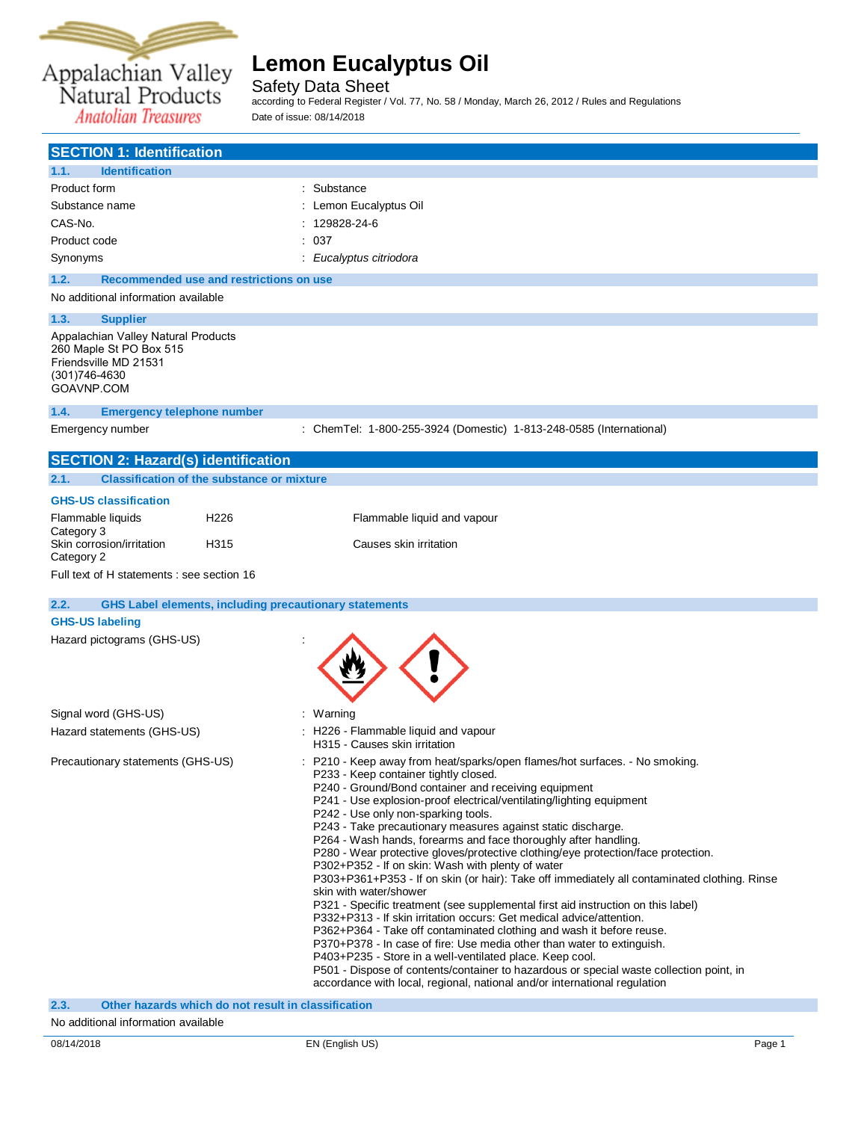

**SECTION 1: Identification**

# **Lemon Eucalyptus Oil**

Safety Data Sheet

according to Federal Register / Vol. 77, No. 58 / Monday, March 26, 2012 / Rules and Regulations Date of issue: 08/14/2018

| <b>Identification</b><br>1.1.                                                                                                 |                                                                                                                                                                                                                                                                                                                                                                                                                                                                                                                                                                                                                                                                                                                                                                                                                                                                                                                                                                                                                                                                                                                                                                                                                                                    |
|-------------------------------------------------------------------------------------------------------------------------------|----------------------------------------------------------------------------------------------------------------------------------------------------------------------------------------------------------------------------------------------------------------------------------------------------------------------------------------------------------------------------------------------------------------------------------------------------------------------------------------------------------------------------------------------------------------------------------------------------------------------------------------------------------------------------------------------------------------------------------------------------------------------------------------------------------------------------------------------------------------------------------------------------------------------------------------------------------------------------------------------------------------------------------------------------------------------------------------------------------------------------------------------------------------------------------------------------------------------------------------------------|
| Product form                                                                                                                  | : Substance                                                                                                                                                                                                                                                                                                                                                                                                                                                                                                                                                                                                                                                                                                                                                                                                                                                                                                                                                                                                                                                                                                                                                                                                                                        |
| Substance name                                                                                                                | : Lemon Eucalyptus Oil                                                                                                                                                                                                                                                                                                                                                                                                                                                                                                                                                                                                                                                                                                                                                                                                                                                                                                                                                                                                                                                                                                                                                                                                                             |
| CAS-No.                                                                                                                       | : 129828-24-6                                                                                                                                                                                                                                                                                                                                                                                                                                                                                                                                                                                                                                                                                                                                                                                                                                                                                                                                                                                                                                                                                                                                                                                                                                      |
| Product code                                                                                                                  | : 037                                                                                                                                                                                                                                                                                                                                                                                                                                                                                                                                                                                                                                                                                                                                                                                                                                                                                                                                                                                                                                                                                                                                                                                                                                              |
| Synonyms                                                                                                                      | Eucalyptus citriodora                                                                                                                                                                                                                                                                                                                                                                                                                                                                                                                                                                                                                                                                                                                                                                                                                                                                                                                                                                                                                                                                                                                                                                                                                              |
| 1.2.<br>Recommended use and restrictions on use                                                                               |                                                                                                                                                                                                                                                                                                                                                                                                                                                                                                                                                                                                                                                                                                                                                                                                                                                                                                                                                                                                                                                                                                                                                                                                                                                    |
| No additional information available                                                                                           |                                                                                                                                                                                                                                                                                                                                                                                                                                                                                                                                                                                                                                                                                                                                                                                                                                                                                                                                                                                                                                                                                                                                                                                                                                                    |
| 1.3.<br><b>Supplier</b>                                                                                                       |                                                                                                                                                                                                                                                                                                                                                                                                                                                                                                                                                                                                                                                                                                                                                                                                                                                                                                                                                                                                                                                                                                                                                                                                                                                    |
| Appalachian Valley Natural Products<br>260 Maple St PO Box 515<br>Friendsville MD 21531<br>(301)746-4630<br>GOAVNP.COM        |                                                                                                                                                                                                                                                                                                                                                                                                                                                                                                                                                                                                                                                                                                                                                                                                                                                                                                                                                                                                                                                                                                                                                                                                                                                    |
| 1.4.<br><b>Emergency telephone number</b>                                                                                     |                                                                                                                                                                                                                                                                                                                                                                                                                                                                                                                                                                                                                                                                                                                                                                                                                                                                                                                                                                                                                                                                                                                                                                                                                                                    |
| Emergency number                                                                                                              | : ChemTel: 1-800-255-3924 (Domestic) 1-813-248-0585 (International)                                                                                                                                                                                                                                                                                                                                                                                                                                                                                                                                                                                                                                                                                                                                                                                                                                                                                                                                                                                                                                                                                                                                                                                |
| <b>SECTION 2: Hazard(s) identification</b>                                                                                    |                                                                                                                                                                                                                                                                                                                                                                                                                                                                                                                                                                                                                                                                                                                                                                                                                                                                                                                                                                                                                                                                                                                                                                                                                                                    |
| <b>Classification of the substance or mixture</b><br>2.1.                                                                     |                                                                                                                                                                                                                                                                                                                                                                                                                                                                                                                                                                                                                                                                                                                                                                                                                                                                                                                                                                                                                                                                                                                                                                                                                                                    |
| <b>GHS-US classification</b>                                                                                                  |                                                                                                                                                                                                                                                                                                                                                                                                                                                                                                                                                                                                                                                                                                                                                                                                                                                                                                                                                                                                                                                                                                                                                                                                                                                    |
| H <sub>226</sub><br>Flammable liquids                                                                                         | Flammable liquid and vapour                                                                                                                                                                                                                                                                                                                                                                                                                                                                                                                                                                                                                                                                                                                                                                                                                                                                                                                                                                                                                                                                                                                                                                                                                        |
| Category 3<br>H315<br>Skin corrosion/irritation<br>Category 2                                                                 | Causes skin irritation                                                                                                                                                                                                                                                                                                                                                                                                                                                                                                                                                                                                                                                                                                                                                                                                                                                                                                                                                                                                                                                                                                                                                                                                                             |
| Full text of H statements : see section 16                                                                                    |                                                                                                                                                                                                                                                                                                                                                                                                                                                                                                                                                                                                                                                                                                                                                                                                                                                                                                                                                                                                                                                                                                                                                                                                                                                    |
| 2.2.<br><b>GHS Label elements, including precautionary statements</b><br><b>GHS-US labeling</b><br>Hazard pictograms (GHS-US) |                                                                                                                                                                                                                                                                                                                                                                                                                                                                                                                                                                                                                                                                                                                                                                                                                                                                                                                                                                                                                                                                                                                                                                                                                                                    |
| Signal word (GHS-US)                                                                                                          | : Warning                                                                                                                                                                                                                                                                                                                                                                                                                                                                                                                                                                                                                                                                                                                                                                                                                                                                                                                                                                                                                                                                                                                                                                                                                                          |
| Hazard statements (GHS-US)                                                                                                    | : H226 - Flammable liquid and vapour<br>H315 - Causes skin irritation                                                                                                                                                                                                                                                                                                                                                                                                                                                                                                                                                                                                                                                                                                                                                                                                                                                                                                                                                                                                                                                                                                                                                                              |
| Precautionary statements (GHS-US)                                                                                             | P210 - Keep away from heat/sparks/open flames/hot surfaces. - No smoking.<br>P233 - Keep container tightly closed.<br>P240 - Ground/Bond container and receiving equipment<br>P241 - Use explosion-proof electrical/ventilating/lighting equipment<br>P242 - Use only non-sparking tools.<br>P243 - Take precautionary measures against static discharge.<br>P264 - Wash hands, forearms and face thoroughly after handling.<br>P280 - Wear protective gloves/protective clothing/eye protection/face protection.<br>P302+P352 - If on skin: Wash with plenty of water<br>P303+P361+P353 - If on skin (or hair): Take off immediately all contaminated clothing. Rinse<br>skin with water/shower<br>P321 - Specific treatment (see supplemental first aid instruction on this label)<br>P332+P313 - If skin irritation occurs: Get medical advice/attention.<br>P362+P364 - Take off contaminated clothing and wash it before reuse.<br>P370+P378 - In case of fire: Use media other than water to extinguish.<br>P403+P235 - Store in a well-ventilated place. Keep cool.<br>P501 - Dispose of contents/container to hazardous or special waste collection point, in<br>accordance with local, regional, national and/or international regulation |
| Other hazards which do not result in classification<br>2.3.                                                                   |                                                                                                                                                                                                                                                                                                                                                                                                                                                                                                                                                                                                                                                                                                                                                                                                                                                                                                                                                                                                                                                                                                                                                                                                                                                    |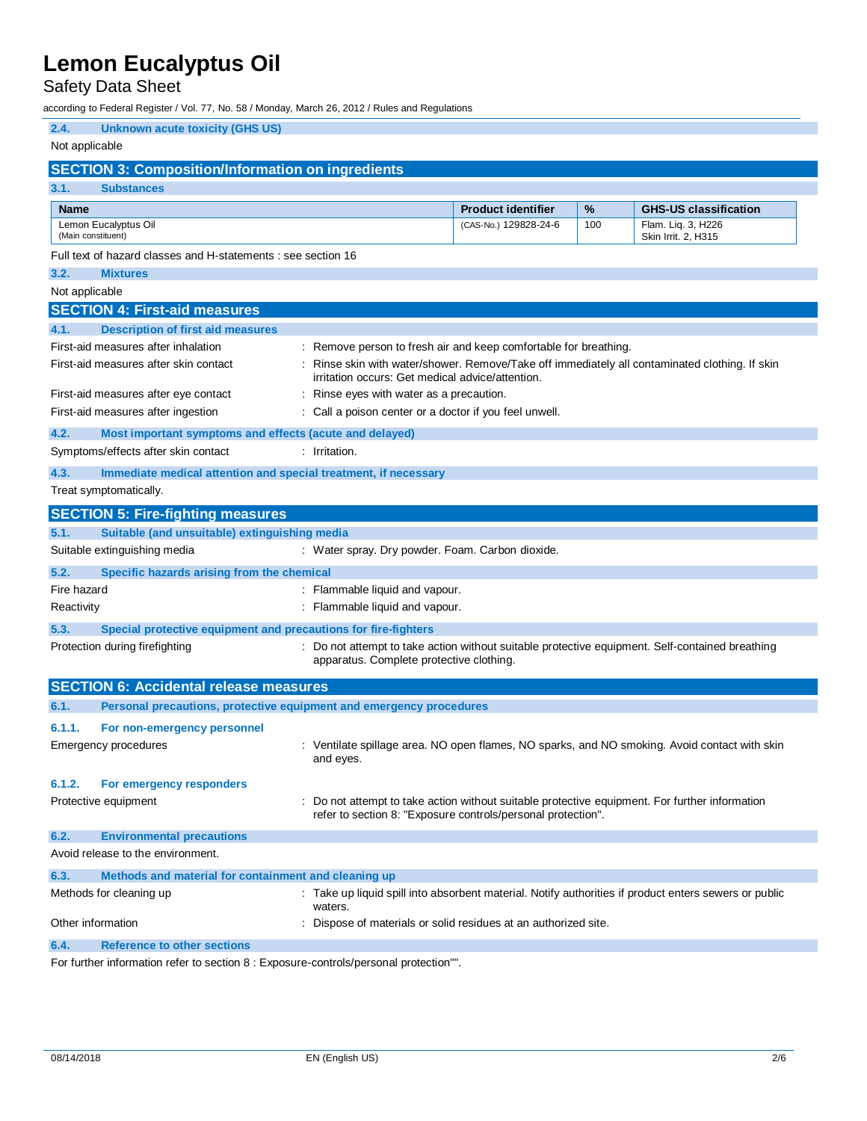Safety Data Sheet

according to Federal Register / Vol. 77, No. 58 / Monday, March 26, 2012 / Rules and Regulations

| 2.4.           | <b>Unknown acute toxicity (GHS US)</b>                              |                                                                                                                                                              |                           |     |                                                                                                     |
|----------------|---------------------------------------------------------------------|--------------------------------------------------------------------------------------------------------------------------------------------------------------|---------------------------|-----|-----------------------------------------------------------------------------------------------------|
| Not applicable |                                                                     |                                                                                                                                                              |                           |     |                                                                                                     |
|                |                                                                     |                                                                                                                                                              |                           |     |                                                                                                     |
|                | <b>SECTION 3: Composition/Information on ingredients</b>            |                                                                                                                                                              |                           |     |                                                                                                     |
| 3.1.           | <b>Substances</b>                                                   |                                                                                                                                                              |                           |     |                                                                                                     |
| <b>Name</b>    |                                                                     |                                                                                                                                                              | <b>Product identifier</b> | %   | <b>GHS-US classification</b>                                                                        |
|                | Lemon Eucalyptus Oil<br>(Main constituent)                          |                                                                                                                                                              | (CAS-No.) 129828-24-6     | 100 | Flam. Liq. 3, H226<br>Skin Irrit. 2, H315                                                           |
|                | Full text of hazard classes and H-statements : see section 16       |                                                                                                                                                              |                           |     |                                                                                                     |
| 3.2.           | <b>Mixtures</b>                                                     |                                                                                                                                                              |                           |     |                                                                                                     |
| Not applicable |                                                                     |                                                                                                                                                              |                           |     |                                                                                                     |
|                | <b>SECTION 4: First-aid measures</b>                                |                                                                                                                                                              |                           |     |                                                                                                     |
| 4.1.           | <b>Description of first aid measures</b>                            |                                                                                                                                                              |                           |     |                                                                                                     |
|                | First-aid measures after inhalation                                 | : Remove person to fresh air and keep comfortable for breathing.                                                                                             |                           |     |                                                                                                     |
|                | First-aid measures after skin contact                               | irritation occurs: Get medical advice/attention.                                                                                                             |                           |     | Rinse skin with water/shower. Remove/Take off immediately all contaminated clothing. If skin        |
|                | First-aid measures after eye contact                                | Rinse eyes with water as a precaution.                                                                                                                       |                           |     |                                                                                                     |
|                | First-aid measures after ingestion                                  | : Call a poison center or a doctor if you feel unwell.                                                                                                       |                           |     |                                                                                                     |
| 4.2.           | Most important symptoms and effects (acute and delayed)             |                                                                                                                                                              |                           |     |                                                                                                     |
|                | Symptoms/effects after skin contact                                 | $:$ Irritation.                                                                                                                                              |                           |     |                                                                                                     |
| 4.3.           | Immediate medical attention and special treatment, if necessary     |                                                                                                                                                              |                           |     |                                                                                                     |
|                | Treat symptomatically.                                              |                                                                                                                                                              |                           |     |                                                                                                     |
|                | <b>SECTION 5: Fire-fighting measures</b>                            |                                                                                                                                                              |                           |     |                                                                                                     |
| 5.1.           | Suitable (and unsuitable) extinguishing media                       |                                                                                                                                                              |                           |     |                                                                                                     |
|                | Suitable extinguishing media                                        | : Water spray. Dry powder. Foam. Carbon dioxide.                                                                                                             |                           |     |                                                                                                     |
| 5.2.           | Specific hazards arising from the chemical                          |                                                                                                                                                              |                           |     |                                                                                                     |
| Fire hazard    |                                                                     | : Flammable liquid and vapour.                                                                                                                               |                           |     |                                                                                                     |
| Reactivity     |                                                                     | : Flammable liquid and vapour.                                                                                                                               |                           |     |                                                                                                     |
| 5.3.           | Special protective equipment and precautions for fire-fighters      |                                                                                                                                                              |                           |     |                                                                                                     |
|                | Protection during firefighting                                      | : Do not attempt to take action without suitable protective equipment. Self-contained breathing<br>apparatus. Complete protective clothing.                  |                           |     |                                                                                                     |
|                | <b>SECTION 6: Accidental release measures</b>                       |                                                                                                                                                              |                           |     |                                                                                                     |
| 6.1.           | Personal precautions, protective equipment and emergency procedures |                                                                                                                                                              |                           |     |                                                                                                     |
| 6.1.1.         | For non-emergency personnel                                         |                                                                                                                                                              |                           |     |                                                                                                     |
|                | Emergency procedures                                                | and eyes.                                                                                                                                                    |                           |     | Ventilate spillage area. NO open flames, NO sparks, and NO smoking. Avoid contact with skin         |
| 6.1.2.         | For emergency responders                                            |                                                                                                                                                              |                           |     |                                                                                                     |
|                | Protective equipment                                                | Do not attempt to take action without suitable protective equipment. For further information<br>refer to section 8: "Exposure controls/personal protection". |                           |     |                                                                                                     |
| 6.2.           | <b>Environmental precautions</b>                                    |                                                                                                                                                              |                           |     |                                                                                                     |
|                | Avoid release to the environment.                                   |                                                                                                                                                              |                           |     |                                                                                                     |
| 6.3.           | Methods and material for containment and cleaning up                |                                                                                                                                                              |                           |     |                                                                                                     |
|                | Methods for cleaning up                                             | waters.                                                                                                                                                      |                           |     | Take up liquid spill into absorbent material. Notify authorities if product enters sewers or public |
|                | Other information                                                   | : Dispose of materials or solid residues at an authorized site.                                                                                              |                           |     |                                                                                                     |
| 6.4.           | <b>Reference to other sections</b>                                  |                                                                                                                                                              |                           |     |                                                                                                     |

For further information refer to section 8 : Exposure-controls/personal protection"".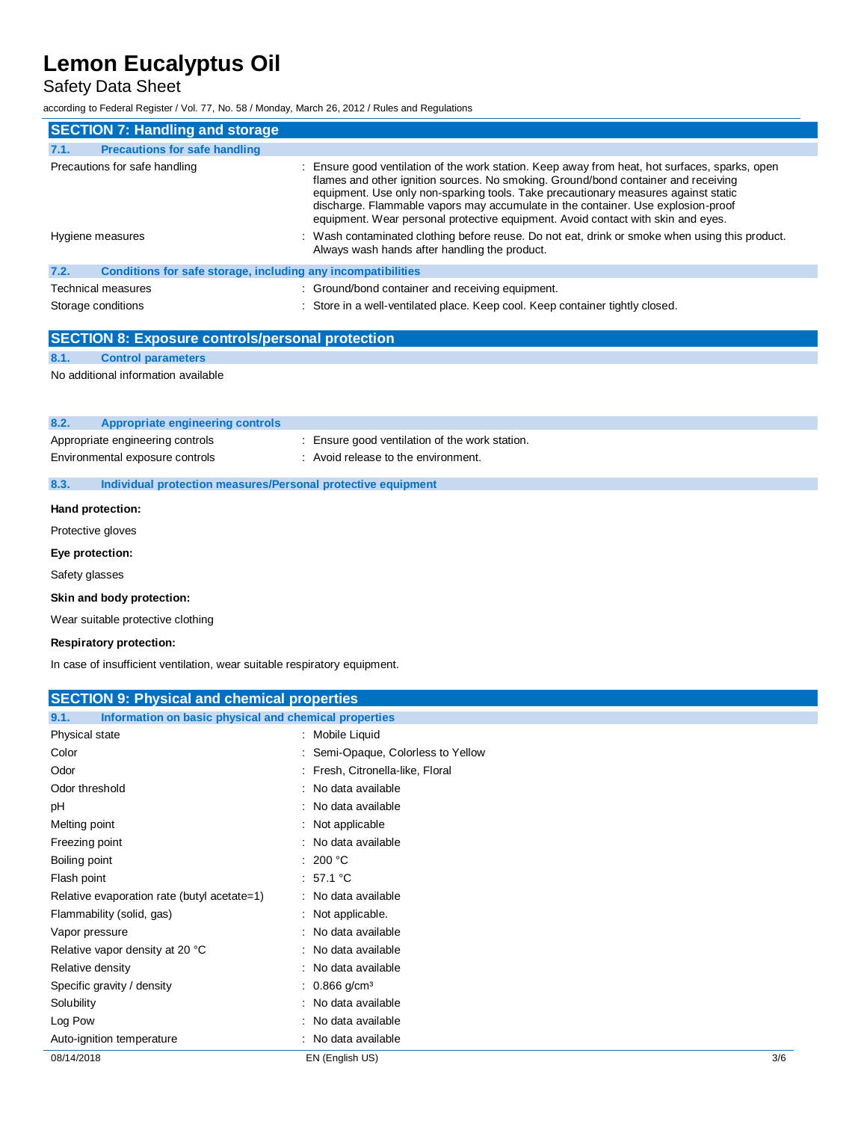Safety Data Sheet

according to Federal Register / Vol. 77, No. 58 / Monday, March 26, 2012 / Rules and Regulations

| <b>SECTION 7: Handling and storage</b>                               |                                                                                                                                                                                                                                                                                                                                                                                                                                                    |
|----------------------------------------------------------------------|----------------------------------------------------------------------------------------------------------------------------------------------------------------------------------------------------------------------------------------------------------------------------------------------------------------------------------------------------------------------------------------------------------------------------------------------------|
| <b>Precautions for safe handling</b><br>7.1.                         |                                                                                                                                                                                                                                                                                                                                                                                                                                                    |
| Precautions for safe handling                                        | : Ensure good ventilation of the work station. Keep away from heat, hot surfaces, sparks, open<br>flames and other ignition sources. No smoking. Ground/bond container and receiving<br>equipment. Use only non-sparking tools. Take precautionary measures against static<br>discharge. Flammable vapors may accumulate in the container. Use explosion-proof<br>equipment. Wear personal protective equipment. Avoid contact with skin and eyes. |
| Hygiene measures                                                     | : Wash contaminated clothing before reuse. Do not eat, drink or smoke when using this product.<br>Always wash hands after handling the product.                                                                                                                                                                                                                                                                                                    |
| 7.2.<br>Conditions for safe storage, including any incompatibilities |                                                                                                                                                                                                                                                                                                                                                                                                                                                    |
| <b>Technical measures</b>                                            | : Ground/bond container and receiving equipment.                                                                                                                                                                                                                                                                                                                                                                                                   |
| Storage conditions                                                   | : Store in a well-ventilated place. Keep cool. Keep container tightly closed.                                                                                                                                                                                                                                                                                                                                                                      |

### **SECTION 8: Exposure controls/personal protection**

**8.1. Control parameters**

No additional information available

| 8.2. | Appropriate engineering controls |
|------|----------------------------------|
|      |                                  |

Appropriate engineering controls : Ensure good ventilation of the work station. Environmental exposure controls : Avoid release to the environment.

### **8.3. Individual protection measures/Personal protective equipment**

#### **Hand protection:**

Protective gloves

### **Eye protection:**

Safety glasses

### **Skin and body protection:**

Wear suitable protective clothing

### **Respiratory protection:**

In case of insufficient ventilation, wear suitable respiratory equipment.

| <b>SECTION 9: Physical and chemical properties</b>            |                                    |     |
|---------------------------------------------------------------|------------------------------------|-----|
| 9.1.<br>Information on basic physical and chemical properties |                                    |     |
| Physical state                                                | : Mobile Liquid                    |     |
| Color                                                         | : Semi-Opaque, Colorless to Yellow |     |
| Odor                                                          | : Fresh, Citronella-like, Floral   |     |
| Odor threshold                                                | : No data available                |     |
| pH                                                            | : No data available                |     |
| Melting point                                                 | : Not applicable                   |     |
| Freezing point                                                | : No data available                |     |
| Boiling point                                                 | : 200 °C                           |     |
| Flash point                                                   | : 57.1 °C                          |     |
| Relative evaporation rate (butyl acetate=1)                   | : No data available                |     |
| Flammability (solid, gas)                                     | : Not applicable.                  |     |
| Vapor pressure                                                | : No data available                |     |
| Relative vapor density at 20 °C                               | : No data available                |     |
| Relative density                                              | : No data available                |     |
| Specific gravity / density                                    | : $0.866$ g/cm <sup>3</sup>        |     |
| Solubility                                                    | : No data available                |     |
| Log Pow                                                       | : No data available                |     |
| Auto-ignition temperature                                     | : No data available                |     |
| 08/14/2018                                                    | EN (English US)                    | 3/6 |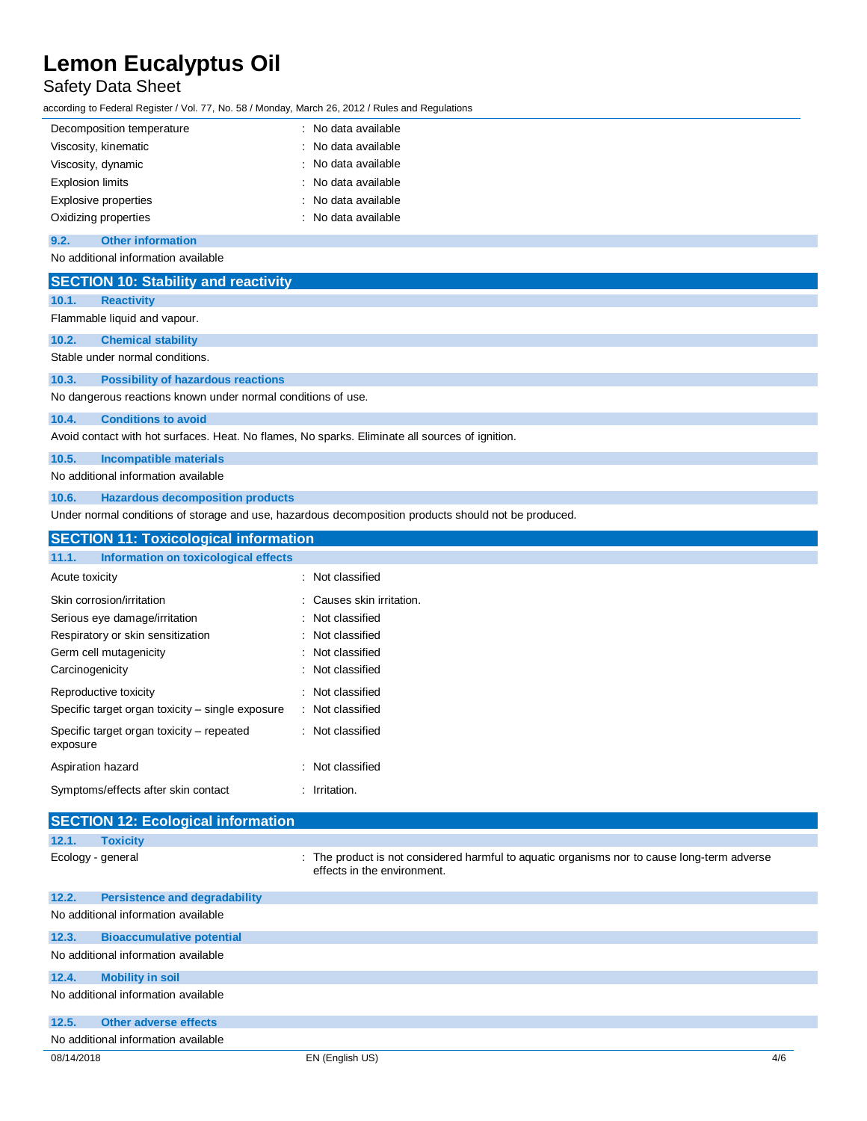### Safety Data Sheet

according to Federal Register / Vol. 77, No. 58 / Monday, March 26, 2012 / Rules and Regulations

| Decomposition temperature | : No data available |
|---------------------------|---------------------|
| Viscosity, kinematic      | : No data available |
| Viscosity, dynamic        | : No data available |
| <b>Explosion limits</b>   | : No data available |
| Explosive properties      | : No data available |
| Oxidizing properties      | : No data available |

### **9.2. Other information**

| No additional information available                                                             |                                                                                                      |
|-------------------------------------------------------------------------------------------------|------------------------------------------------------------------------------------------------------|
| <b>SECTION 10: Stability and reactivity</b>                                                     |                                                                                                      |
| 10.1.<br><b>Reactivity</b>                                                                      |                                                                                                      |
| Flammable liquid and vapour.                                                                    |                                                                                                      |
| 10.2.<br><b>Chemical stability</b>                                                              |                                                                                                      |
| Stable under normal conditions.                                                                 |                                                                                                      |
| 10.3.<br><b>Possibility of hazardous reactions</b>                                              |                                                                                                      |
| No dangerous reactions known under normal conditions of use.                                    |                                                                                                      |
| 10.4.<br><b>Conditions to avoid</b>                                                             |                                                                                                      |
| Avoid contact with hot surfaces. Heat. No flames, No sparks. Eliminate all sources of ignition. |                                                                                                      |
| 10.5.<br><b>Incompatible materials</b>                                                          |                                                                                                      |
| No additional information available                                                             |                                                                                                      |
| <b>Hazardous decomposition products</b><br>10.6.                                                |                                                                                                      |
|                                                                                                 | Under normal conditions of storage and use, hazardous decomposition products should not be produced. |
| <b>SECTION 11: Toxicological information</b>                                                    |                                                                                                      |
| Information on toxicological effects<br>11.1.                                                   |                                                                                                      |
| Acute toxicity                                                                                  | : Not classified                                                                                     |
| Skin corrosion/irritation                                                                       | Causes skin irritation.                                                                              |
| Serious eye damage/irritation                                                                   | : Not classified                                                                                     |
| Respiratory or skin sensitization                                                               | : Not classified                                                                                     |
| Germ cell mutagenicity                                                                          | : Not classified                                                                                     |
| Carcinogenicity                                                                                 | : Not classified                                                                                     |
| Reproductive toxicity                                                                           | : Not classified                                                                                     |
| Specific target organ toxicity – single exposure                                                | : Not classified                                                                                     |
| Specific target organ toxicity – repeated                                                       | : Not classified                                                                                     |

Aspiration hazard : Not classified Symptoms/effects after skin contact : Irritation.

exposure

| <b>SECTION 12: Ecological information</b>     |                                                                                                                            |     |
|-----------------------------------------------|----------------------------------------------------------------------------------------------------------------------------|-----|
| 12.1.<br><b>Toxicity</b>                      |                                                                                                                            |     |
| Ecology - general                             | : The product is not considered harmful to aquatic organisms nor to cause long-term adverse<br>effects in the environment. |     |
| 12.2.<br><b>Persistence and degradability</b> |                                                                                                                            |     |
| No additional information available           |                                                                                                                            |     |
| <b>Bioaccumulative potential</b><br>12.3.     |                                                                                                                            |     |
| No additional information available           |                                                                                                                            |     |
| <b>Mobility in soil</b><br>12.4.              |                                                                                                                            |     |
| No additional information available           |                                                                                                                            |     |
| Other adverse effects<br>12.5.                |                                                                                                                            |     |
| No additional information available           |                                                                                                                            |     |
| 08/14/2018                                    | EN (English US)                                                                                                            | 4/6 |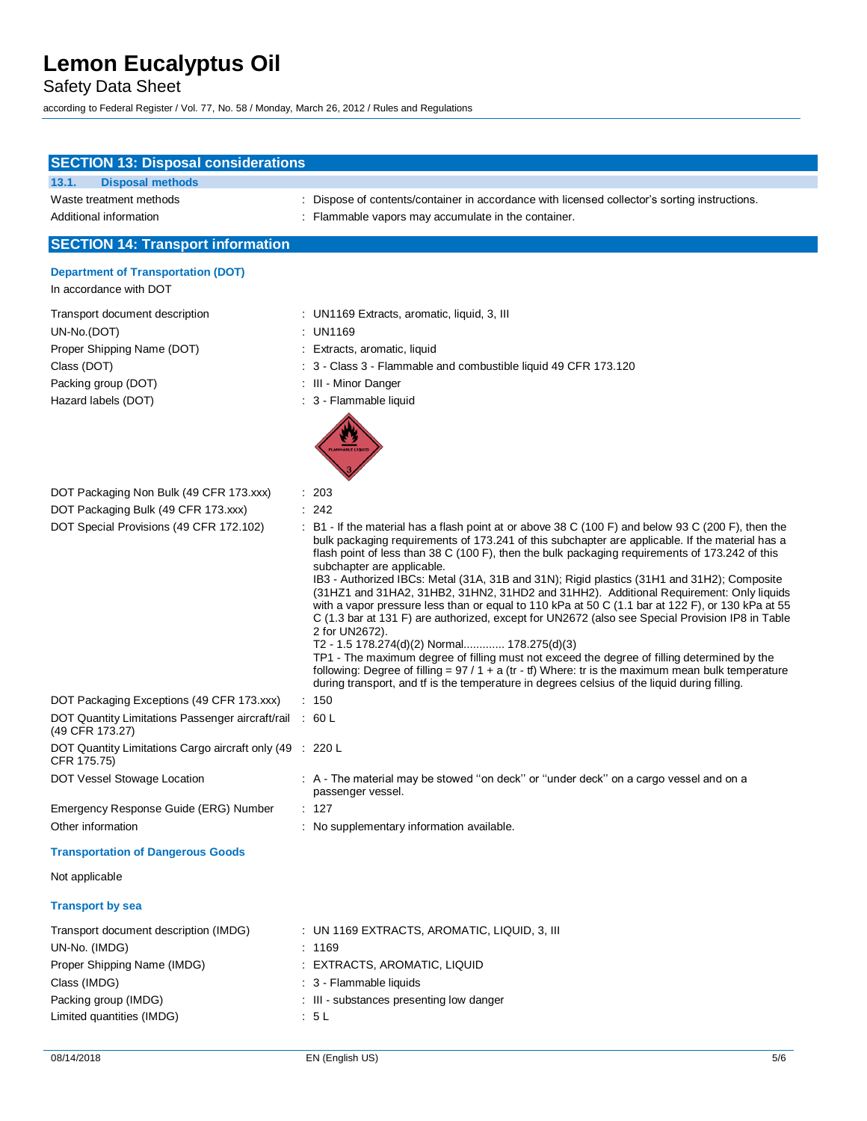Safety Data Sheet

according to Federal Register / Vol. 77, No. 58 / Monday, March 26, 2012 / Rules and Regulations

| <b>SECTION 13: Disposal considerations</b>                                                                                               |                                                                                                                                                                                                                                                                                                                                                                                                                                                                                                                                                                                                                                                                                                                                                                                                                                                                                                                                                                                                                                                                                                            |
|------------------------------------------------------------------------------------------------------------------------------------------|------------------------------------------------------------------------------------------------------------------------------------------------------------------------------------------------------------------------------------------------------------------------------------------------------------------------------------------------------------------------------------------------------------------------------------------------------------------------------------------------------------------------------------------------------------------------------------------------------------------------------------------------------------------------------------------------------------------------------------------------------------------------------------------------------------------------------------------------------------------------------------------------------------------------------------------------------------------------------------------------------------------------------------------------------------------------------------------------------------|
| 13.1.<br><b>Disposal methods</b>                                                                                                         |                                                                                                                                                                                                                                                                                                                                                                                                                                                                                                                                                                                                                                                                                                                                                                                                                                                                                                                                                                                                                                                                                                            |
| Waste treatment methods                                                                                                                  | : Dispose of contents/container in accordance with licensed collector's sorting instructions.                                                                                                                                                                                                                                                                                                                                                                                                                                                                                                                                                                                                                                                                                                                                                                                                                                                                                                                                                                                                              |
| Additional information                                                                                                                   | : Flammable vapors may accumulate in the container.                                                                                                                                                                                                                                                                                                                                                                                                                                                                                                                                                                                                                                                                                                                                                                                                                                                                                                                                                                                                                                                        |
| <b>SECTION 14: Transport information</b>                                                                                                 |                                                                                                                                                                                                                                                                                                                                                                                                                                                                                                                                                                                                                                                                                                                                                                                                                                                                                                                                                                                                                                                                                                            |
| <b>Department of Transportation (DOT)</b><br>In accordance with DOT                                                                      |                                                                                                                                                                                                                                                                                                                                                                                                                                                                                                                                                                                                                                                                                                                                                                                                                                                                                                                                                                                                                                                                                                            |
| Transport document description<br>UN-No.(DOT)<br>Proper Shipping Name (DOT)<br>Class (DOT)<br>Packing group (DOT)<br>Hazard labels (DOT) | : UN1169 Extracts, aromatic, liquid, 3, III<br>: UN1169<br>: Extracts, aromatic, liquid<br>3 - Class 3 - Flammable and combustible liquid 49 CFR 173.120<br>: III - Minor Danger<br>: 3 - Flammable liquid                                                                                                                                                                                                                                                                                                                                                                                                                                                                                                                                                                                                                                                                                                                                                                                                                                                                                                 |
|                                                                                                                                          |                                                                                                                                                                                                                                                                                                                                                                                                                                                                                                                                                                                                                                                                                                                                                                                                                                                                                                                                                                                                                                                                                                            |
| DOT Packaging Non Bulk (49 CFR 173.xxx)                                                                                                  | : 203                                                                                                                                                                                                                                                                                                                                                                                                                                                                                                                                                                                                                                                                                                                                                                                                                                                                                                                                                                                                                                                                                                      |
| DOT Packaging Bulk (49 CFR 173.xxx)                                                                                                      | .242                                                                                                                                                                                                                                                                                                                                                                                                                                                                                                                                                                                                                                                                                                                                                                                                                                                                                                                                                                                                                                                                                                       |
| DOT Special Provisions (49 CFR 172.102)                                                                                                  | : B1 - If the material has a flash point at or above 38 C (100 F) and below 93 C (200 F), then the<br>bulk packaging requirements of 173.241 of this subchapter are applicable. If the material has a<br>flash point of less than 38 C (100 F), then the bulk packaging requirements of 173.242 of this<br>subchapter are applicable.<br>IB3 - Authorized IBCs: Metal (31A, 31B and 31N); Rigid plastics (31H1 and 31H2); Composite<br>(31HZ1 and 31HA2, 31HB2, 31HN2, 31HD2 and 31HH2). Additional Requirement: Only liquids<br>with a vapor pressure less than or equal to 110 kPa at 50 C (1.1 bar at 122 F), or 130 kPa at 55<br>C (1.3 bar at 131 F) are authorized, except for UN2672 (also see Special Provision IP8 in Table<br>2 for UN2672).<br>T2 - 1.5 178.274(d)(2) Normal 178.275(d)(3)<br>TP1 - The maximum degree of filling must not exceed the degree of filling determined by the<br>following: Degree of filling = $97/1 + a$ (tr - tf) Where: tr is the maximum mean bulk temperature<br>during transport, and if is the temperature in degrees celsius of the liquid during filling. |
| DOT Packaging Exceptions (49 CFR 173.xxx)                                                                                                | : 150                                                                                                                                                                                                                                                                                                                                                                                                                                                                                                                                                                                                                                                                                                                                                                                                                                                                                                                                                                                                                                                                                                      |
| DOT Quantity Limitations Passenger aircraft/rail : 60 L<br>(49 CFR 173.27)                                                               |                                                                                                                                                                                                                                                                                                                                                                                                                                                                                                                                                                                                                                                                                                                                                                                                                                                                                                                                                                                                                                                                                                            |
| DOT Quantity Limitations Cargo aircraft only (49 : 220 L<br>CFR 175.75)                                                                  |                                                                                                                                                                                                                                                                                                                                                                                                                                                                                                                                                                                                                                                                                                                                                                                                                                                                                                                                                                                                                                                                                                            |
| DOT Vessel Stowage Location                                                                                                              | : A - The material may be stowed "on deck" or "under deck" on a cargo vessel and on a<br>passenger vessel.                                                                                                                                                                                                                                                                                                                                                                                                                                                                                                                                                                                                                                                                                                                                                                                                                                                                                                                                                                                                 |
| Emergency Response Guide (ERG) Number                                                                                                    | : 127                                                                                                                                                                                                                                                                                                                                                                                                                                                                                                                                                                                                                                                                                                                                                                                                                                                                                                                                                                                                                                                                                                      |
| Other information                                                                                                                        | : No supplementary information available.                                                                                                                                                                                                                                                                                                                                                                                                                                                                                                                                                                                                                                                                                                                                                                                                                                                                                                                                                                                                                                                                  |
| <b>Transportation of Dangerous Goods</b>                                                                                                 |                                                                                                                                                                                                                                                                                                                                                                                                                                                                                                                                                                                                                                                                                                                                                                                                                                                                                                                                                                                                                                                                                                            |
| Not applicable                                                                                                                           |                                                                                                                                                                                                                                                                                                                                                                                                                                                                                                                                                                                                                                                                                                                                                                                                                                                                                                                                                                                                                                                                                                            |
| <b>Transport by sea</b>                                                                                                                  |                                                                                                                                                                                                                                                                                                                                                                                                                                                                                                                                                                                                                                                                                                                                                                                                                                                                                                                                                                                                                                                                                                            |
| Transport document description (IMDG)                                                                                                    | : UN 1169 EXTRACTS, AROMATIC, LIQUID, 3, III                                                                                                                                                                                                                                                                                                                                                                                                                                                                                                                                                                                                                                                                                                                                                                                                                                                                                                                                                                                                                                                               |
| UN-No. (IMDG)                                                                                                                            | : 1169                                                                                                                                                                                                                                                                                                                                                                                                                                                                                                                                                                                                                                                                                                                                                                                                                                                                                                                                                                                                                                                                                                     |
| Proper Shipping Name (IMDG)                                                                                                              | : EXTRACTS, AROMATIC, LIQUID                                                                                                                                                                                                                                                                                                                                                                                                                                                                                                                                                                                                                                                                                                                                                                                                                                                                                                                                                                                                                                                                               |
| Class (IMDG)                                                                                                                             | : 3 - Flammable liquids                                                                                                                                                                                                                                                                                                                                                                                                                                                                                                                                                                                                                                                                                                                                                                                                                                                                                                                                                                                                                                                                                    |
| Packing group (IMDG)<br>Limited quantities (IMDG)                                                                                        | : III - substances presenting low danger<br>: 5L                                                                                                                                                                                                                                                                                                                                                                                                                                                                                                                                                                                                                                                                                                                                                                                                                                                                                                                                                                                                                                                           |